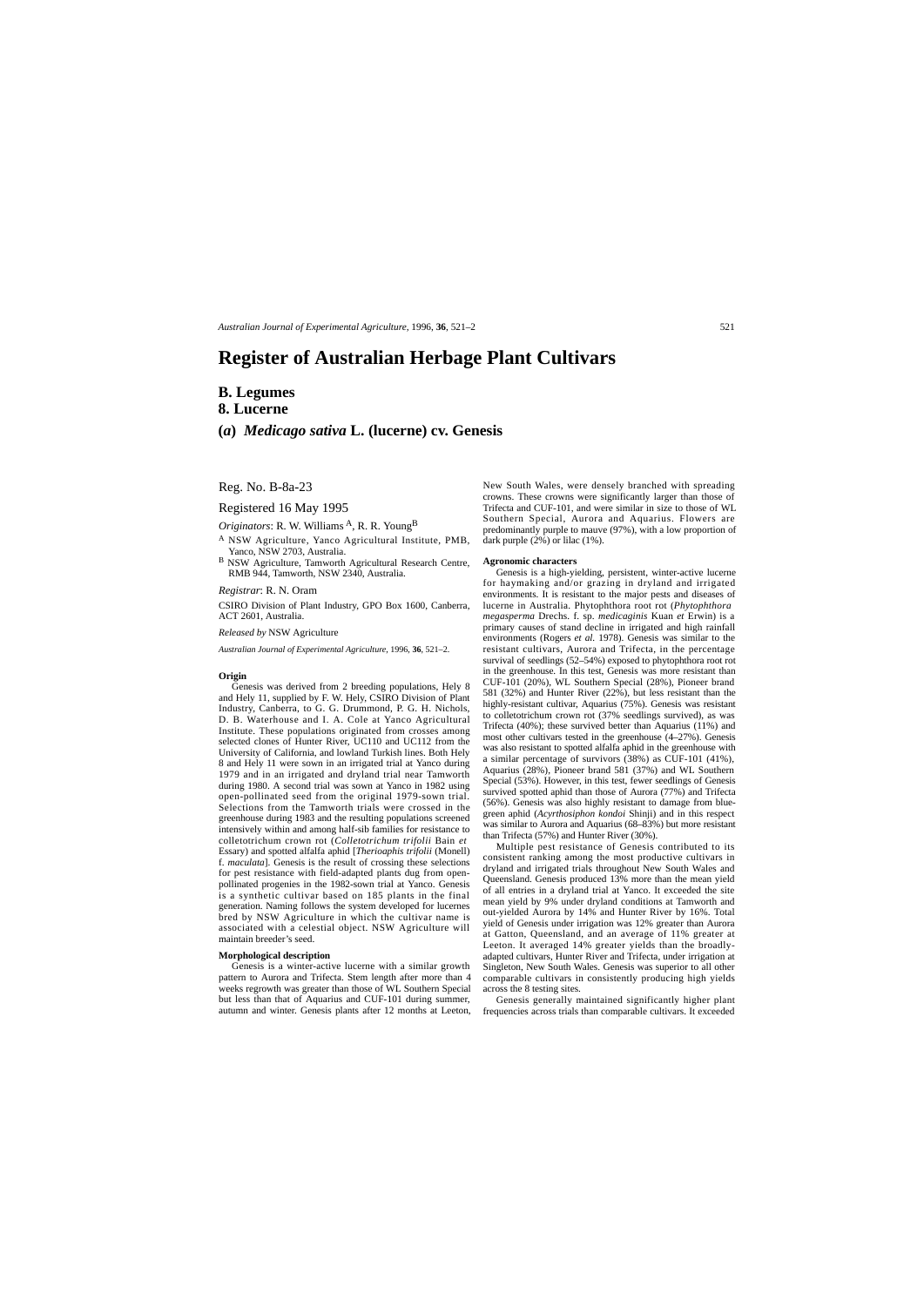### Reg. No. B-8a-23

Registered 16 May 1995

*Originators*: R. W. Williams <sup>A</sup>, R. R. Young<sup>B</sup>

- <sup>A</sup> NSW Agriculture, Yanco Agricultural Institute, PMB, Yanco, NSW 2703, Australia.
- <sup>B</sup> NSW Agriculture, Tamworth Agricultural Research Centre, RMB 944, Tamworth, NSW 2340, Australia.

*Registrar*: R. N. Oram

CSIRO Division of Plant Industry, GPO Box 1600, Canberra, ACT 2601, Australia.

*Released by* NSW Agriculture

*Australian Journal of Experimental Agriculture*, 1996, **36**, 521–2.

#### **Origin**

Genesis was derived from 2 breeding populations, Hely 8 and Hely 11, supplied by F. W. Hely, CSIRO Division of Plant Industry, Canberra, to G. G. Drummond, P. G. H. Nichols, D. B. Waterhouse and I. A. Cole at Yanco Agricultural Institute. These populations originated from crosses among selected clones of Hunter River, UC110 and UC112 from the University of California, and lowland Turkish lines. Both Hely 8 and Hely 11 were sown in an irrigated trial at Yanco during 1979 and in an irrigated and dryland trial near Tamworth during 1980. A second trial was sown at Yanco in 1982 using open-pollinated seed from the original 1979-sown trial. Selections from the Tamworth trials were crossed in the greenhouse during 1983 and the resulting populations screened intensively within and among half-sib families for resistance to colletotrichum crown rot (*Colletotrichum trifolii* Bain *et* Essary) and spotted alfalfa aphid [*Therioaphis trifolii* (Monell) f. *maculata*]. Genesis is the result of crossing these selections for pest resistance with field-adapted plants dug from openpollinated progenies in the 1982-sown trial at Yanco. Genesis is a synthetic cultivar based on 185 plants in the final generation. Naming follows the system developed for lucernes bred by NSW Agriculture in which the cultivar name is associated with a celestial object. NSW Agriculture will maintain breeder's seed.

#### **Morphological description**

Genesis is a winter-active lucerne with a similar growth pattern to Aurora and Trifecta. Stem length after more than 4 weeks regrowth was greater than those of WL Southern Special but less than that of Aquarius and CUF-101 during summer,

New South Wales, were densely branched with spreading crowns. These crowns were significantly larger than those of Trifecta and CUF-101, and were similar in size to those of WL Southern Special, Aurora and Aquarius. Flowers are predominantly purple to mauve (97%), with a low proportion of dark purple (2%) or lilac (1%).

#### **Agronomic characters**

Genesis is a high-yielding, persistent, winter-active lucerne for haymaking and/or grazing in dryland and irrigated environments. It is resistant to the major pests and diseases of lucerne in Australia. Phytophthora root rot (*Phytophthora megasperma* Drechs. f. sp. *medicaginis* Kuan *et* Erwin) is a primary causes of stand decline in irrigated and high rainfall environments (Rogers *et al.* 1978). Genesis was similar to the resistant cultivars, Aurora and Trifecta, in the percentage survival of seedlings (52–54%) exposed to phytophthora root rot in the greenhouse. In this test, Genesis was more resistant than CUF-101 (20%), WL Southern Special (28%), Pioneer brand 581 (32%) and Hunter River (22%), but less resistant than the highly-resistant cultivar, Aquarius (75%). Genesis was resistant to colletotrichum crown rot (37% seedlings survived), as was Trifecta (40%); these survived better than Aquarius (11%) and most other cultivars tested in the greenhouse (4–27%). Genesis was also resistant to spotted alfalfa aphid in the greenhouse with a similar percentage of survivors (38%) as CUF-101 (41%), Aquarius (28%), Pioneer brand 581 (37%) and WL Southern Special (53%). However, in this test, fewer seedlings of Genesis survived spotted aphid than those of Aurora (77%) and Trifecta (56%). Genesis was also highly resistant to damage from bluegreen aphid (*Acyrthosiphon kondoi* Shinji) and in this respect was similar to Aurora and Aquarius (68–83%) but more resistant than Trifecta (57%) and Hunter River (30%).

autumn and winter. Genesis plants after 12 months at Leeton, frequencies across trials than comparable cultivars. It exceeded Genesis generally maintained significantly higher plant

Multiple pest resistance of Genesis contributed to its consistent ranking among the most productive cultivars in dryland and irrigated trials throughout New South Wales and Queensland. Genesis produced 13% more than the mean yield of all entries in a dryland trial at Yanco. It exceeded the site mean yield by 9% under dryland conditions at Tamworth and out-yielded Aurora by 14% and Hunter River by 16%. Total yield of Genesis under irrigation was 12% greater than Aurora at Gatton, Queensland, and an average of 11% greater at Leeton. It averaged 14% greater yields than the broadlyadapted cultivars, Hunter River and Trifecta, under irrigation at Singleton, New South Wales. Genesis was superior to all other comparable cultivars in consistently producing high yields

across the 8 testing sites.

# **Register of Australian Herbage Plant Cultivars**

## **B. Legumes 8. Lucerne**

**(***a***)** *Medicago sativa* **L. (lucerne) cv. Genesis**

*Australian Journal of Experimental Agriculture,* 1996, **36**, 521–2 521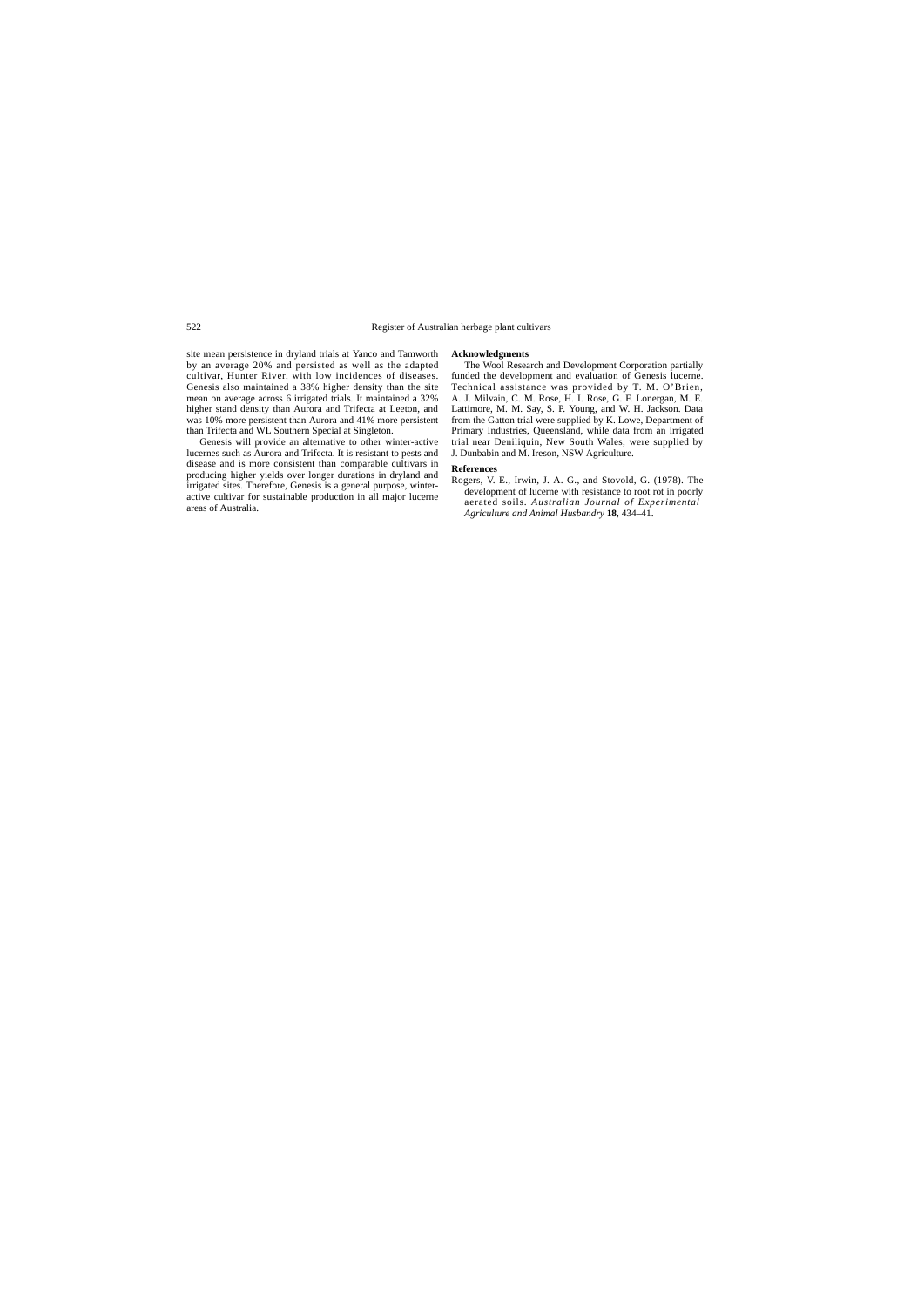site mean persistence in dryland trials at Yanco and Tamworth by an average 20% and persisted as well as the adapted cultivar, Hunter River, with low incidences of diseases. Genesis also maintained a 38% higher density than the site mean on average across 6 irrigated trials. It maintained a 32% higher stand density than Aurora and Trifecta at Leeton, and was 10% more persistent than Aurora and 41% more persistent than Trifecta and WL Southern Special at Singleton.

Genesis will provide an alternative to other winter-active lucernes such as Aurora and Trifecta. It is resistant to pests and disease and is more consistent than comparable cultivars in producing higher yields over longer durations in dryland and irrigated sites. Therefore, Genesis is a general purpose, winteractive cultivar for sustainable production in all major lucerne areas of Australia.

**Acknowledgments** The Wool Research and Development Corporation partially funded the development and evaluation of Genesis lucerne. Technical assistance was provided by T. M. O'Brien, A. J. Milvain, C. M. Rose, H. I. Rose, G. F. Lonergan, M. E. Lattimore, M. M. Say, S. P. Young, and W. H. Jackson. Data from the Gatton trial were supplied by K. Lowe, Department of Primary Industries, Queensland, while data from an irrigated trial near Deniliquin, New South Wales, were supplied by J. Dunbabin and M. Ireson, NSW Agriculture.

### **References**

Rogers, V. E., Irwin, J. A. G., and Stovold, G. (1978). The development of lucerne with resistance to root rot in poorly aerated soils. *Australian Journal of Experimental Agriculture and Animal Husbandry* **18**, 434–41.

### 522 Register of Australian herbage plant cultivars